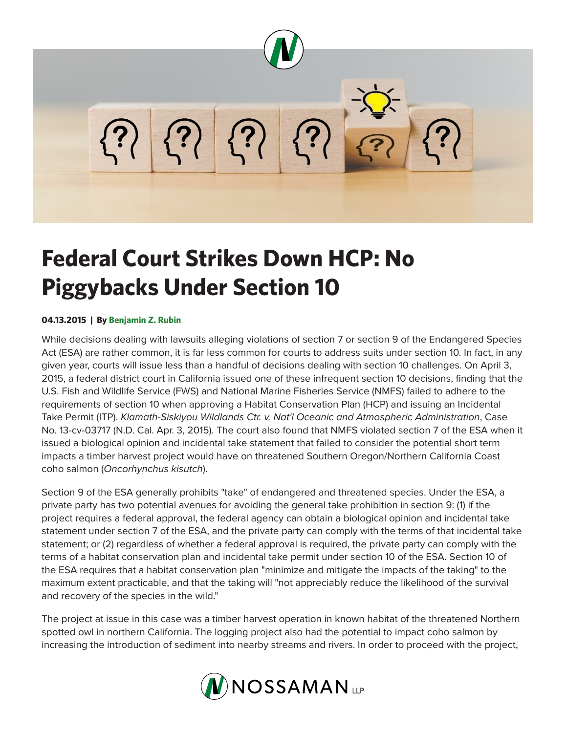

## **Federal Court Strikes Down HCP: No Piggybacks Under Section 10**

## **04.13.2015 | By Benjamin Z. Rubin**

While decisions dealing with lawsuits alleging violations of section 7 or section 9 of the Endangered Species Act (ESA) are rather common, it is far less common for courts to address suits under section 10. In fact, in any given year, courts will issue less than a handful of decisions dealing with section 10 challenges. On April 3, 2015, a federal district court in California issued one of these infrequent section 10 decisions, finding that the U.S. Fish and Wildlife Service (FWS) and National Marine Fisheries Service (NMFS) failed to adhere to the requirements of section 10 when approving a Habitat Conservation Plan (HCP) and issuing an Incidental Take Permit (ITP). *Klamath-Siskiyou Wildlands Ctr. v. Nat'l Oceanic and Atmospheric Administration*, Case No. 13-cv-03717 (N.D. Cal. Apr. 3, 2015). The court also found that NMFS violated section 7 of the ESA when it issued a biological opinion and incidental take statement that failed to consider the potential short term impacts a timber harvest project would have on threatened Southern Oregon/Northern California Coast coho salmon (*Oncorhynchus kisutch*).

Section 9 of the ESA generally prohibits "take" of endangered and threatened species. Under the ESA, a private party has two potential avenues for avoiding the general take prohibition in section 9: (1) if the project requires a federal approval, the federal agency can obtain a biological opinion and incidental take statement under section 7 of the ESA, and the private party can comply with the terms of that incidental take statement; or (2) regardless of whether a federal approval is required, the private party can comply with the terms of a habitat conservation plan and incidental take permit under section 10 of the ESA. Section 10 of the ESA requires that a habitat conservation plan "minimize and mitigate the impacts of the taking" to the maximum extent practicable, and that the taking will "not appreciably reduce the likelihood of the survival and recovery of the species in the wild."

The project at issue in this case was a timber harvest operation in known habitat of the threatened Northern spotted owl in northern California. The logging project also had the potential to impact coho salmon by increasing the introduction of sediment into nearby streams and rivers. In order to proceed with the project,